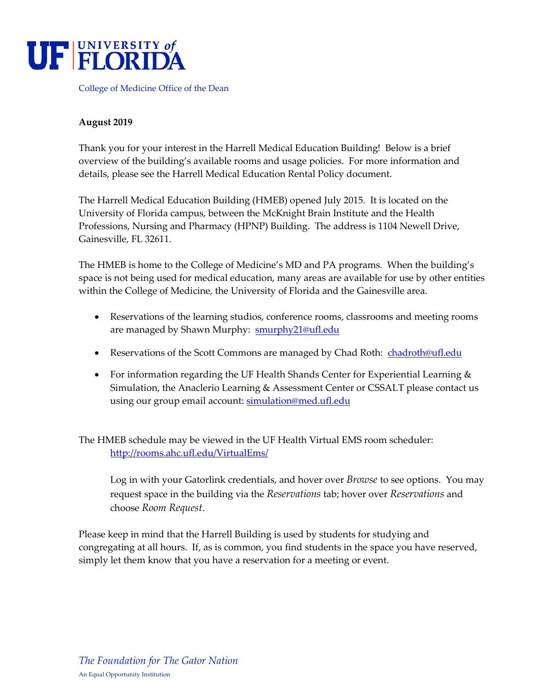

College of Medicine Office of the Dean

## **August 2019**

Thank you for your interest in the Harrell Medical Education Building! Below is a brief overview of the building's available rooms and usage policies. For more information and details, please see the Harrell Medical Education Rental Policy document.

The Harrell Medical Education Building (HMEB) opened July 2015. It is located on the University of Florida campus, between the McKnight Brain Institute and the Health Professions, Nursing and Pharmacy (HPNP) Building. The address is 1104 Newell Drive, Gainesville, FL 32611.

The HMEB is home to the College of Medicine's MD and PA programs. When the building's space is not being used for medical education, many areas are available for use by other entities within the College of Medicine, the University of Florida and the Gainesville area.

- Reservations of the learning studios, conference rooms, classrooms and meeting rooms are managed by Shawn Murphy: [smurphy21](mailto:denisef@ufl.edu)@ufl.edu
- Reservations of the Scott Commons are managed by Chad Roth: [chadroth@ufl.edu](mailto:chadroth@ufl.edu)
- For information regarding the UF Health Shands Center for Experiential Learning & Simulation, the Anaclerio Learning & Assessment Center or CSSALT please contact us [using our group em](mailto:dimichga@ufl.edu)ail account: simulation@med.ufl.edu

The HMEB schedule may be viewed in the UF Health Virtual EMS room scheduler: <http://rooms.ahc.ufl.edu/VirtualEms/>

Log in with your Gatorlink credentials, and hover over *Browse* to see options. You may request space in the building via the *Reservations* tab; hover over *Reservations* and choose *Room Request*.

Please keep in mind that the Harrell Building is used by students for studying and congregating at all hours. If, as is common, you find students in the space you have reserved, simply let them know that you have a reservation for a meeting or event.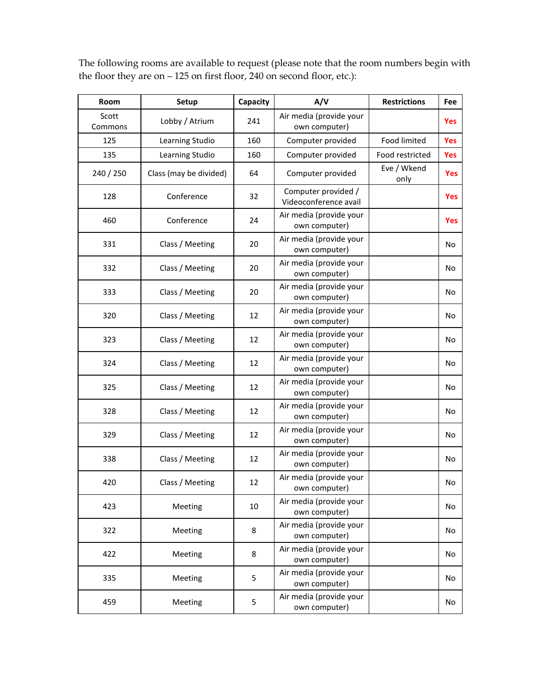| Room             | Setup                  | Capacity | A/V                                          | <b>Restrictions</b> | Fee        |
|------------------|------------------------|----------|----------------------------------------------|---------------------|------------|
| Scott<br>Commons | Lobby / Atrium         | 241      | Air media (provide your<br>own computer)     |                     | <b>Yes</b> |
| 125              | Learning Studio        | 160      | Computer provided                            | Food limited        | <b>Yes</b> |
| 135              | Learning Studio        | 160      | Computer provided                            | Food restricted     | <b>Yes</b> |
| 240 / 250        | Class (may be divided) | 64       | Computer provided                            | Eve / Wkend<br>only | Yes        |
| 128              | Conference             | 32       | Computer provided /<br>Videoconference avail |                     | <b>Yes</b> |
| 460              | Conference             | 24       | Air media (provide your<br>own computer)     |                     | Yes        |
| 331              | Class / Meeting        | 20       | Air media (provide your<br>own computer)     |                     | No         |
| 332              | Class / Meeting        | 20       | Air media (provide your<br>own computer)     |                     | No         |
| 333              | Class / Meeting        | 20       | Air media (provide your<br>own computer)     |                     | No         |
| 320              | Class / Meeting        | 12       | Air media (provide your<br>own computer)     |                     | No         |
| 323              | Class / Meeting        | 12       | Air media (provide your<br>own computer)     |                     | No         |
| 324              | Class / Meeting        | 12       | Air media (provide your<br>own computer)     |                     | No         |
| 325              | Class / Meeting        | 12       | Air media (provide your<br>own computer)     |                     | No         |
| 328              | Class / Meeting        | 12       | Air media (provide your<br>own computer)     |                     | No         |
| 329              | Class / Meeting        | 12       | Air media (provide your<br>own computer)     |                     | No         |
| 338              | Class / Meeting        | 12       | Air media (provide your<br>own computer)     |                     | No         |
| 420              | Class / Meeting        | 12       | Air media (provide your<br>own computer)     |                     | No         |
| 423              | Meeting                | 10       | Air media (provide your<br>own computer)     |                     | No         |
| 322              | Meeting                | 8        | Air media (provide your<br>own computer)     |                     | No         |
| 422              | Meeting                | 8        | Air media (provide your<br>own computer)     |                     | No         |
| 335              | Meeting                | 5        | Air media (provide your<br>own computer)     |                     | No         |
| 459              | Meeting                | 5        | Air media (provide your<br>own computer)     |                     | No         |

The following rooms are available to request (please note that the room numbers begin with the floor they are on – 125 on first floor, 240 on second floor, etc.):